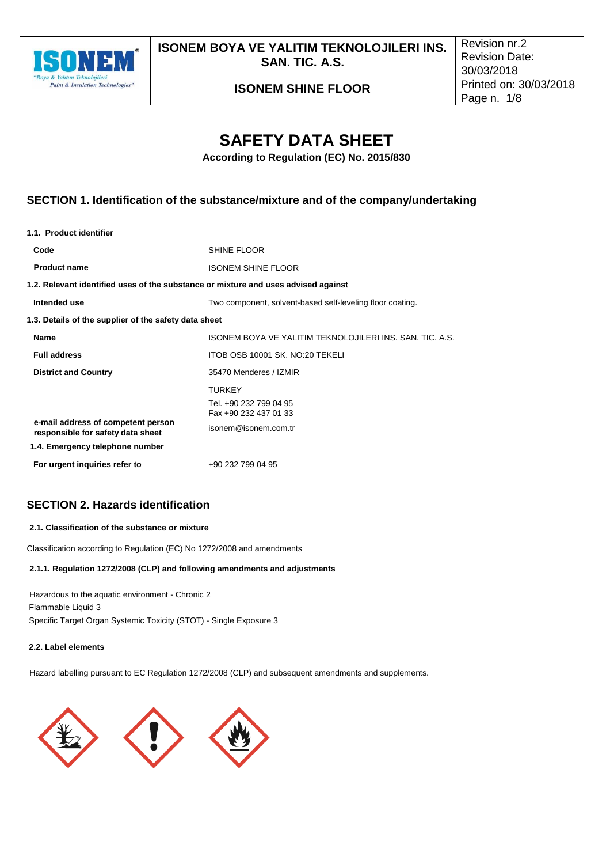

**ISONEM BOYA VE YALITIM TEKNOLOJILERI INS. SAN. TIC. A.S.**

**ISONEM SHINE FLOOR**

# **SAFETY DATA SHEET**

**According to Regulation (EC) No. 2015/830** 

## **SECTION 1. Identification of the substance/mixture and of the company/undertaking**

| SHINE FLOOR                                                                        |
|------------------------------------------------------------------------------------|
| <b>ISONEM SHINE FLOOR</b>                                                          |
| 1.2. Relevant identified uses of the substance or mixture and uses advised against |
| Two component, solvent-based self-leveling floor coating.                          |
| 1.3. Details of the supplier of the safety data sheet                              |
| ISONEM BOYA VE YALITIM TEKNOLOJILERI INS. SAN. TIC. A.S.                           |
| ITOB OSB 10001 SK. NO:20 TEKELI                                                    |
| 35470 Menderes / IZMIR                                                             |
| <b>TURKEY</b>                                                                      |
| Tel. +90 232 799 04 95<br>Fax +90 232 437 01 33                                    |
| isonem@isonem.com.tr                                                               |
|                                                                                    |
| +90 232 799 04 95                                                                  |
|                                                                                    |

## **SECTION 2. Hazards identification**

#### **2.1. Classification of the substance or mixture**

Classification according to Regulation (EC) No 1272/2008 and amendments

#### **2.1.1. Regulation 1272/2008 (CLP) and following amendments and adjustments**

Hazardous to the aquatic environment - Chronic 2 Flammable Liquid 3 Specific Target Organ Systemic Toxicity (STOT) - Single Exposure 3

### **2.2. Label elements**

Hazard labelling pursuant to EC Regulation 1272/2008 (CLP) and subsequent amendments and supplements.

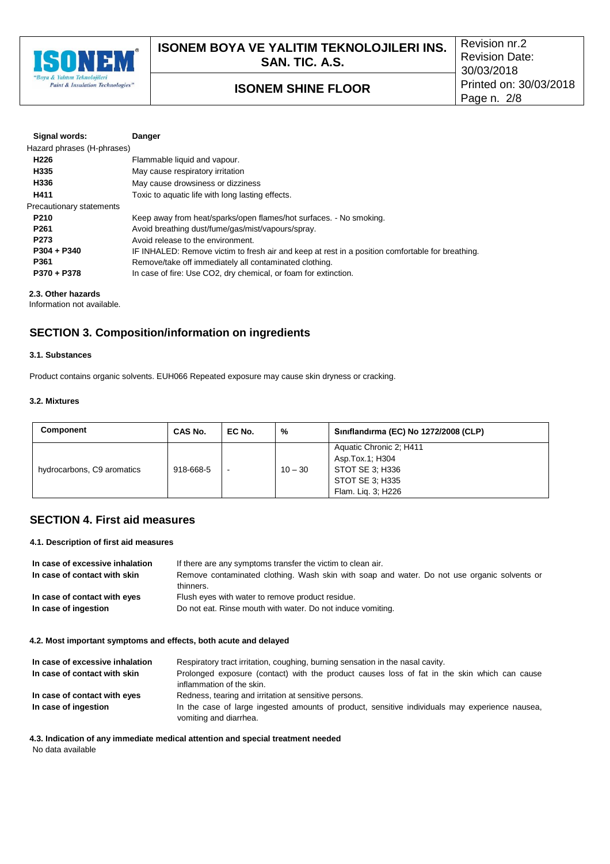

| Signal words:              | Danger                                                                                           |
|----------------------------|--------------------------------------------------------------------------------------------------|
| Hazard phrases (H-phrases) |                                                                                                  |
| H <sub>226</sub>           | Flammable liquid and vapour.                                                                     |
| H335                       | May cause respiratory irritation                                                                 |
| H336                       | May cause drowsiness or dizziness                                                                |
| H411                       | Toxic to aquatic life with long lasting effects.                                                 |
| Precautionary statements   |                                                                                                  |
| P <sub>210</sub>           | Keep away from heat/sparks/open flames/hot surfaces. - No smoking.                               |
| P <sub>261</sub>           | Avoid breathing dust/fume/gas/mist/vapours/spray.                                                |
| P <sub>273</sub>           | Avoid release to the environment.                                                                |
| P304 + P340                | IF INHALED: Remove victim to fresh air and keep at rest in a position comfortable for breathing. |
| P361                       | Remove/take off immediately all contaminated clothing.                                           |
| P370 + P378                | In case of fire: Use CO2, dry chemical, or foam for extinction.                                  |

#### **2.3. Other hazards**

Information not available.

## **SECTION 3. Composition/information on ingredients**

#### **3.1. Substances**

Product contains organic solvents. EUH066 Repeated exposure may cause skin dryness or cracking.

#### **3.2. Mixtures**

| <b>Component</b>           | CAS No.   | EC No.                   | %         | Siniflandirma (EC) No 1272/2008 (CLP)                                                                  |
|----------------------------|-----------|--------------------------|-----------|--------------------------------------------------------------------------------------------------------|
| hydrocarbons, C9 aromatics | 918-668-5 | $\overline{\phantom{a}}$ | $10 - 30$ | Aquatic Chronic 2; H411<br>Asp.Tox.1; H304<br>STOT SE 3: H336<br>STOT SE 3; H335<br>Flam. Lig. 3; H226 |

### **SECTION 4. First aid measures**

#### **4.1. Description of first aid measures**

| In case of excessive inhalation<br>In case of contact with skin | If there are any symptoms transfer the victim to clean air.<br>Remove contaminated clothing. Wash skin with soap and water. Do not use organic solvents or<br>thinners. |
|-----------------------------------------------------------------|-------------------------------------------------------------------------------------------------------------------------------------------------------------------------|
| In case of contact with eyes                                    | Flush eyes with water to remove product residue.                                                                                                                        |
| In case of ingestion                                            | Do not eat. Rinse mouth with water. Do not induce vomiting.                                                                                                             |

#### **4.2. Most important symptoms and effects, both acute and delayed**

| In case of excessive inhalation | Respiratory tract irritation, coughing, burning sensation in the nasal cavity.                                            |
|---------------------------------|---------------------------------------------------------------------------------------------------------------------------|
| In case of contact with skin    | Prolonged exposure (contact) with the product causes loss of fat in the skin which can cause<br>inflammation of the skin. |
| In case of contact with eyes    | Redness, tearing and irritation at sensitive persons.                                                                     |
| In case of ingestion            | In the case of large ingested amounts of product, sensitive individuals may experience nausea,<br>vomiting and diarrhea.  |

**4.3. Indication of any immediate medical attention and special treatment needed**

No data available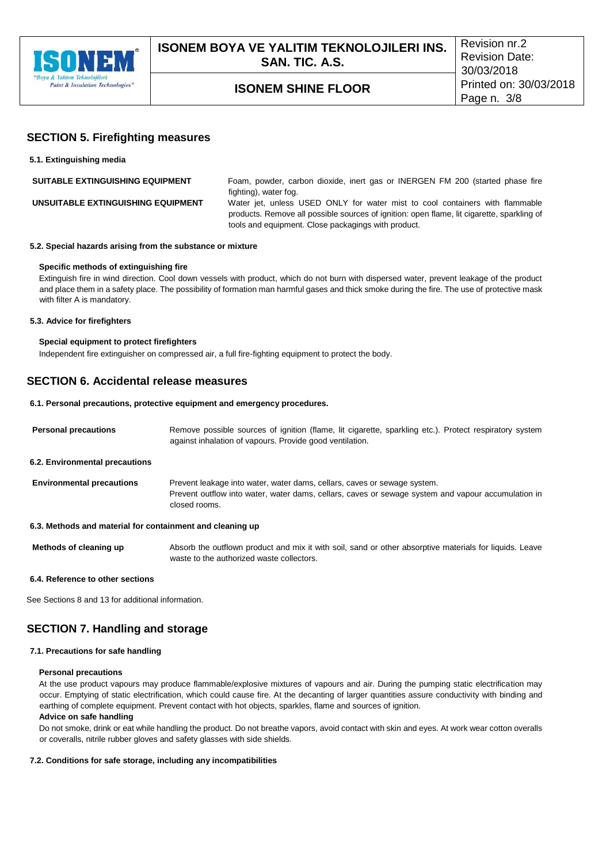

### **SECTION 5. Firefighting measures**

| 5.1. Extinguishing media                |                                                                                                                                                                                                                                   |
|-----------------------------------------|-----------------------------------------------------------------------------------------------------------------------------------------------------------------------------------------------------------------------------------|
| <b>SUITABLE EXTINGUISHING EQUIPMENT</b> | Foam, powder, carbon dioxide, inert gas or INERGEN FM 200 (started phase fire<br>fighting), water fog.                                                                                                                            |
| UNSUITABLE EXTINGUISHING EQUIPMENT      | Water jet, unless USED ONLY for water mist to cool containers with flammable<br>products. Remove all possible sources of ignition: open flame, lit cigarette, sparkling of<br>tools and equipment. Close packagings with product. |

#### **5.2. Special hazards arising from the substance or mixture**

#### **Specific methods of extinguishing fire**

Extinguish fire in wind direction. Cool down vessels with product, which do not burn with dispersed water, prevent leakage of the product and place them in a safety place. The possibility of formation man harmful gases and thick smoke during the fire. The use of protective mask with filter A is mandatory.

#### **5.3. Advice for firefighters**

#### **Special equipment to protect firefighters**

Independent fire extinguisher on compressed air, a full fire-fighting equipment to protect the body.

### **SECTION 6. Accidental release measures**

#### **6.1. Personal precautions, protective equipment and emergency procedures.**

| <b>Personal precautions</b>      | Remove possible sources of ignition (flame, lit cigarette, sparkling etc.). Protect respiratory system<br>against inhalation of vapours. Provide good ventilation.                              |
|----------------------------------|-------------------------------------------------------------------------------------------------------------------------------------------------------------------------------------------------|
| 6.2. Environmental precautions   |                                                                                                                                                                                                 |
| <b>Environmental precautions</b> | Prevent leakage into water, water dams, cellars, caves or sewage system.<br>Prevent outflow into water, water dams, cellars, caves or sewage system and vapour accumulation in<br>closed rooms. |

#### **6.3. Methods and material for containment and cleaning up**

**Methods of cleaning up** Absorb the outflown product and mix it with soil, sand or other absorptive materials for liquids. Leave waste to the authorized waste collectors.

#### **6.4. Reference to other sections**

See Sections 8 and 13 for additional information.

### **SECTION 7. Handling and storage**

#### **7.1. Precautions for safe handling**

#### **Personal precautions**

At the use product vapours may produce flammable/explosive mixtures of vapours and air. During the pumping static electrification may occur. Emptying of static electrification, which could cause fire. At the decanting of larger quantities assure conductivity with binding and earthing of complete equipment. Prevent contact with hot objects, sparkles, flame and sources of ignition.

### **Advice on safe handling**

Do not smoke, drink or eat while handling the product. Do not breathe vapors, avoid contact with skin and eyes. At work wear cotton overalls or coveralls, nitrile rubber gloves and safety glasses with side shields.

#### **7.2. Conditions for safe storage, including any incompatibilities**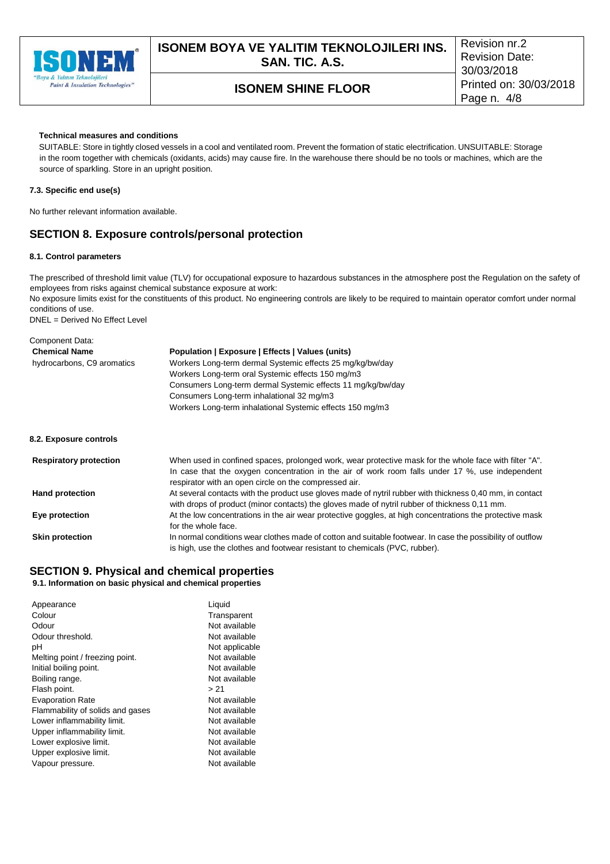

#### **Technical measures and conditions**

SUITABLE: Store in tightly closed vessels in a cool and ventilated room. Prevent the formation of static electrification. UNSUITABLE: Storage in the room together with chemicals (oxidants, acids) may cause fire. In the warehouse there should be no tools or machines, which are the source of sparkling. Store in an upright position.

#### **7.3. Specific end use(s)**

No further relevant information available.

### **SECTION 8. Exposure controls/personal protection**

#### **8.1. Control parameters**

The prescribed of threshold limit value (TLV) for occupational exposure to hazardous substances in the atmosphere post the Regulation on the safety of employees from risks against chemical substance exposure at work:

No exposure limits exist for the constituents of this product. No engineering controls are likely to be required to maintain operator comfort under normal conditions of use.

DNEL = Derived No Effect Level

| Component Data:               |                                                                                                                                                                                                                                                                    |
|-------------------------------|--------------------------------------------------------------------------------------------------------------------------------------------------------------------------------------------------------------------------------------------------------------------|
| <b>Chemical Name</b>          | Population   Exposure   Effects   Values (units)                                                                                                                                                                                                                   |
| hydrocarbons, C9 aromatics    | Workers Long-term dermal Systemic effects 25 mg/kg/bw/day                                                                                                                                                                                                          |
|                               | Workers Long-term oral Systemic effects 150 mg/m3                                                                                                                                                                                                                  |
|                               | Consumers Long-term dermal Systemic effects 11 mg/kg/bw/day                                                                                                                                                                                                        |
|                               | Consumers Long-term inhalational 32 mg/m3                                                                                                                                                                                                                          |
|                               | Workers Long-term inhalational Systemic effects 150 mg/m3                                                                                                                                                                                                          |
| 8.2. Exposure controls        |                                                                                                                                                                                                                                                                    |
| <b>Respiratory protection</b> | When used in confined spaces, prolonged work, wear protective mask for the whole face with filter "A".<br>In case that the oxygen concentration in the air of work room falls under 17 %, use independent<br>respirator with an open circle on the compressed air. |
| <b>Hand protection</b>        | At several contacts with the product use gloves made of nytril rubber with thickness 0,40 mm, in contact<br>with drops of product (minor contacts) the gloves made of nytril rubber of thickness 0,11 mm.                                                          |
| Eye protection                | At the low concentrations in the air wear protective goggles, at high concentrations the protective mask<br>for the whole face.                                                                                                                                    |
| <b>Skin protection</b>        | In normal conditions wear clothes made of cotton and suitable footwear. In case the possibility of outflow                                                                                                                                                         |
|                               | is high, use the clothes and footwear resistant to chemicals (PVC, rubber).                                                                                                                                                                                        |

#### **SECTION 9. Physical and chemical properties 9.1. Information on basic physical and chemical properties**

| Appearance                       | Liquid         |
|----------------------------------|----------------|
| Colour                           | Transparent    |
| Odour                            | Not available  |
| Odour threshold.                 | Not available  |
| рH                               | Not applicable |
| Melting point / freezing point.  | Not available  |
| Initial boiling point.           | Not available  |
| Boiling range.                   | Not available  |
| Flash point.                     | > 21           |
| <b>Evaporation Rate</b>          | Not available  |
| Flammability of solids and gases | Not available  |
| Lower inflammability limit.      | Not available  |
| Upper inflammability limit.      | Not available  |
| Lower explosive limit.           | Not available  |
| Upper explosive limit.           | Not available  |
| Vapour pressure.                 | Not available  |
|                                  |                |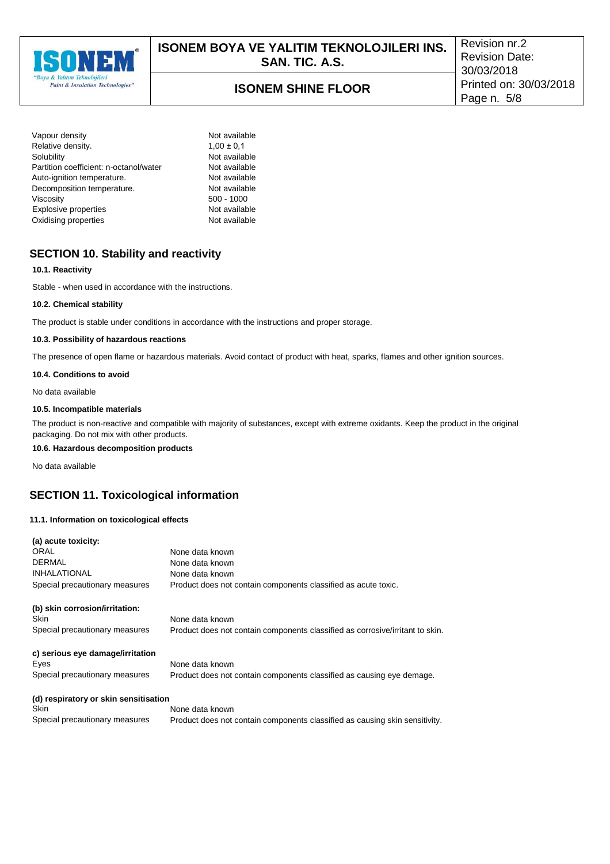

| Vapour density                         |
|----------------------------------------|
| Relative density.                      |
| Solubility                             |
| Partition coefficient: n-octanol/water |
| Auto-ignition temperature.             |
| Decomposition temperature.             |
| Viscosity                              |
| <b>Explosive properties</b>            |
| Oxidising properties                   |

Not available  $1,00 \pm 0,1$ Not available Not available Not available Not available. 500 - 1000 Not available Not available

### **SECTION 10. Stability and reactivity**

#### **10.1. Reactivity**

Stable - when used in accordance with the instructions.

#### **10.2. Chemical stability**

The product is stable under conditions in accordance with the instructions and proper storage.

#### **10.3. Possibility of hazardous reactions**

The presence of open flame or hazardous materials. Avoid contact of product with heat, sparks, flames and other ignition sources.

#### **10.4. Conditions to avoid**

No data available

#### **10.5. Incompatible materials**

The product is non-reactive and compatible with majority of substances, except with extreme oxidants. Keep the product in the original packaging. Do not mix with other products.

**10.6. Hazardous decomposition products**

No data available

### **SECTION 11. Toxicological information**

#### **11.1. Information on toxicological effects**

| (a) acute toxicity:                   |                                                                               |
|---------------------------------------|-------------------------------------------------------------------------------|
| ORAL                                  | None data known                                                               |
| <b>DERMAL</b>                         | None data known                                                               |
| <b>INHALATIONAL</b>                   | None data known                                                               |
| Special precautionary measures        | Product does not contain components classified as acute toxic.                |
| (b) skin corrosion/irritation:        |                                                                               |
| <b>Skin</b>                           | None data known                                                               |
| Special precautionary measures        | Product does not contain components classified as corrosive/irritant to skin. |
| c) serious eye damage/irritation      |                                                                               |
| Eyes                                  | None data known                                                               |
| Special precautionary measures        | Product does not contain components classified as causing eye demage.         |
| (d) respiratory or skin sensitisation |                                                                               |
| <b>Skin</b>                           | None data known                                                               |
| Special precautionary measures        | Product does not contain components classified as causing skin sensitivity.   |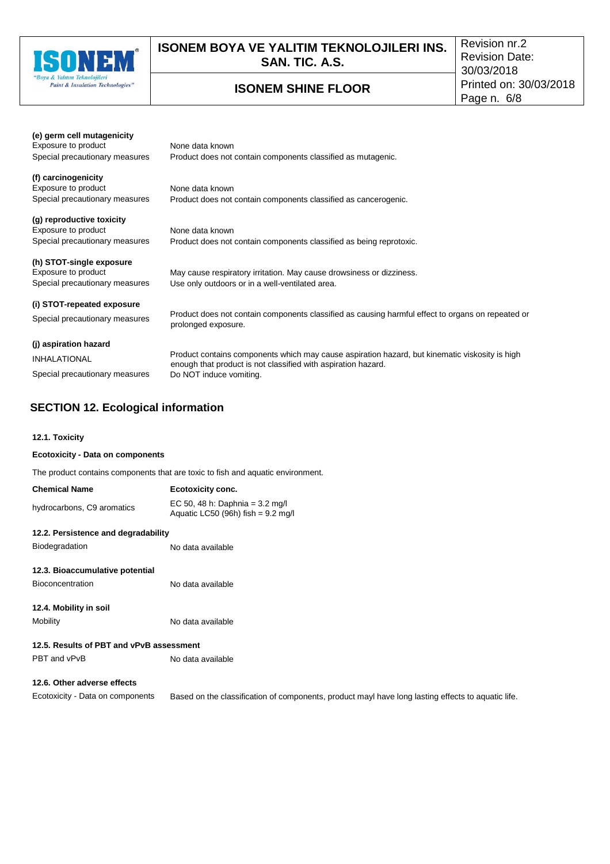

## **ISONEM BOYA VE YALITIM TEKNOLOJILERI INS. SAN. TIC. A.S.**

## **ISONEM SHINE FLOOR**

Revision nr.2 Revision Date: 30/03/2018 Printed on: 30/03/2018 Page n. 6/8

product mayl have long lasting effects to aquatic life.

| (e) germ cell mutagenicity     |                                                                                                   |
|--------------------------------|---------------------------------------------------------------------------------------------------|
| Exposure to product            | None data known                                                                                   |
| Special precautionary measures | Product does not contain components classified as mutagenic.                                      |
| (f) carcinogenicity            |                                                                                                   |
| Exposure to product            | None data known                                                                                   |
| Special precautionary measures | Product does not contain components classified as cancerogenic.                                   |
| (g) reproductive toxicity      |                                                                                                   |
| Exposure to product            | None data known                                                                                   |
| Special precautionary measures | Product does not contain components classified as being reprotoxic.                               |
| (h) STOT-single exposure       |                                                                                                   |
| Exposure to product            | May cause respiratory irritation. May cause drowsiness or dizziness.                              |
| Special precautionary measures | Use only outdoors or in a well-ventilated area.                                                   |
| (i) STOT-repeated exposure     |                                                                                                   |
|                                | Product does not contain components classified as causing harmful effect to organs on repeated or |
| Special precautionary measures | prolonged exposure.                                                                               |
| (j) aspiration hazard          |                                                                                                   |
| <b>INHALATIONAL</b>            | Product contains components which may cause aspiration hazard, but kinematic viskosity is high    |
|                                | enough that product is not classified with aspiration hazard.                                     |
| Special precautionary measures | Do NOT induce vomiting.                                                                           |

## **SECTION 12. Ecological information**

#### **12.1. Toxicity**

#### **Ecotoxicity - Data on components**

The product contains components that are toxic to fish and aquatic environment.

| <b>Chemical Name</b>                     | Ecotoxicity conc.                                                                         |  |  |  |
|------------------------------------------|-------------------------------------------------------------------------------------------|--|--|--|
| hydrocarbons, C9 aromatics               | EC 50, 48 h: Daphnia = $3.2 \text{ mg/l}$<br>Aquatic LC50 (96h) fish = $9.2 \text{ mg/l}$ |  |  |  |
| 12.2. Persistence and degradability      |                                                                                           |  |  |  |
| Biodegradation                           | No data available                                                                         |  |  |  |
| 12.3. Bioaccumulative potential          |                                                                                           |  |  |  |
| <b>Bioconcentration</b>                  | No data available                                                                         |  |  |  |
| 12.4. Mobility in soil                   |                                                                                           |  |  |  |
| Mobility                                 | No data available                                                                         |  |  |  |
| 12.5. Results of PBT and vPvB assessment |                                                                                           |  |  |  |
| PBT and vPvB                             | No data available                                                                         |  |  |  |
| 12.6. Other adverse effects              |                                                                                           |  |  |  |
| Ecotoxicity - Data on components         | Based on the classification of components.                                                |  |  |  |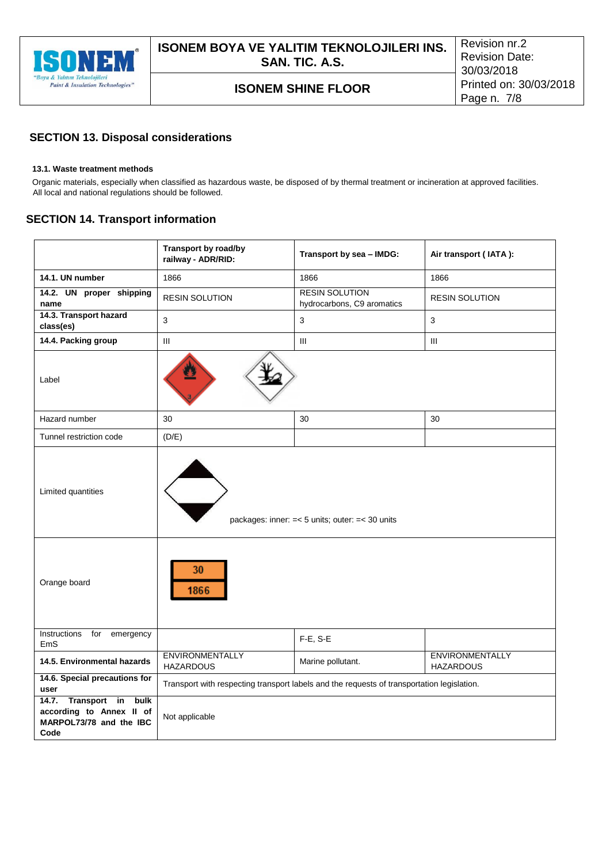

## **SECTION 13. Disposal considerations**

#### **13.1. Waste treatment methods**

Organic materials, especially when classified as hazardous waste, be disposed of by thermal treatment or incineration at approved facilities. All local and national regulations should be followed.

### **SECTION 14. Transport information**

|                                                                                              | Transport by road/by<br>railway - ADR/RID:                                                 | Transport by sea - IMDG:                            | Air transport (IATA):                      |  |
|----------------------------------------------------------------------------------------------|--------------------------------------------------------------------------------------------|-----------------------------------------------------|--------------------------------------------|--|
| 14.1. UN number                                                                              | 1866                                                                                       | 1866                                                | 1866                                       |  |
| 14.2. UN proper shipping<br>name                                                             | <b>RESIN SOLUTION</b>                                                                      | <b>RESIN SOLUTION</b><br>hydrocarbons, C9 aromatics | <b>RESIN SOLUTION</b>                      |  |
| 14.3. Transport hazard<br>class(es)                                                          | 3                                                                                          | 3                                                   | 3                                          |  |
| 14.4. Packing group                                                                          | Ш                                                                                          | III                                                 | III                                        |  |
| Label                                                                                        |                                                                                            |                                                     |                                            |  |
| Hazard number                                                                                | 30                                                                                         | 30                                                  | 30                                         |  |
| Tunnel restriction code                                                                      | (D/E)                                                                                      |                                                     |                                            |  |
| Limited quantities                                                                           | packages: inner: $=< 5$ units; outer: $=< 30$ units                                        |                                                     |                                            |  |
| Orange board                                                                                 | 30<br>1866                                                                                 |                                                     |                                            |  |
| Instructions for<br>emergency<br>EmS                                                         |                                                                                            | F-E, S-E                                            |                                            |  |
| 14.5. Environmental hazards                                                                  | <b>ENVIRONMENTALLY</b><br><b>HAZARDOUS</b>                                                 | Marine pollutant.                                   | <b>ENVIRONMENTALLY</b><br><b>HAZARDOUS</b> |  |
| 14.6. Special precautions for<br>user                                                        | Transport with respecting transport labels and the requests of transportation legislation. |                                                     |                                            |  |
| Transport in<br>bulk<br>14.7.<br>according to Annex II of<br>MARPOL73/78 and the IBC<br>Code | Not applicable                                                                             |                                                     |                                            |  |